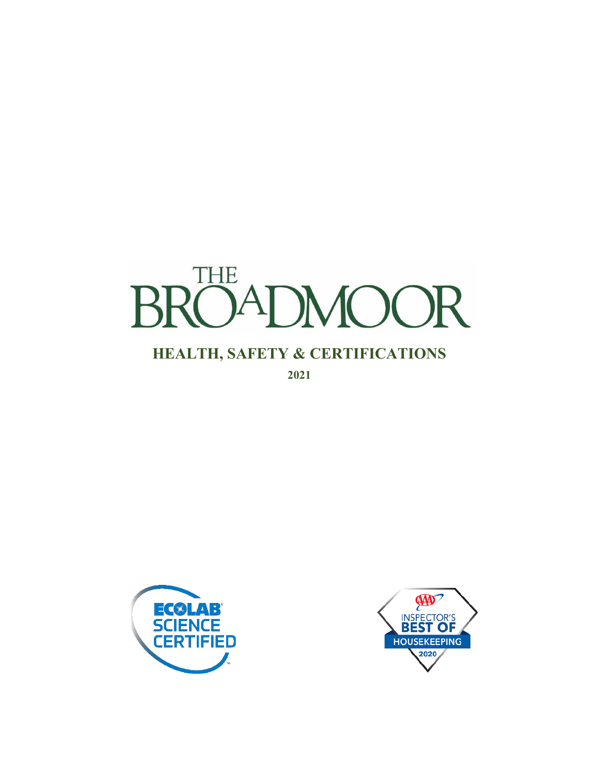

**2021**



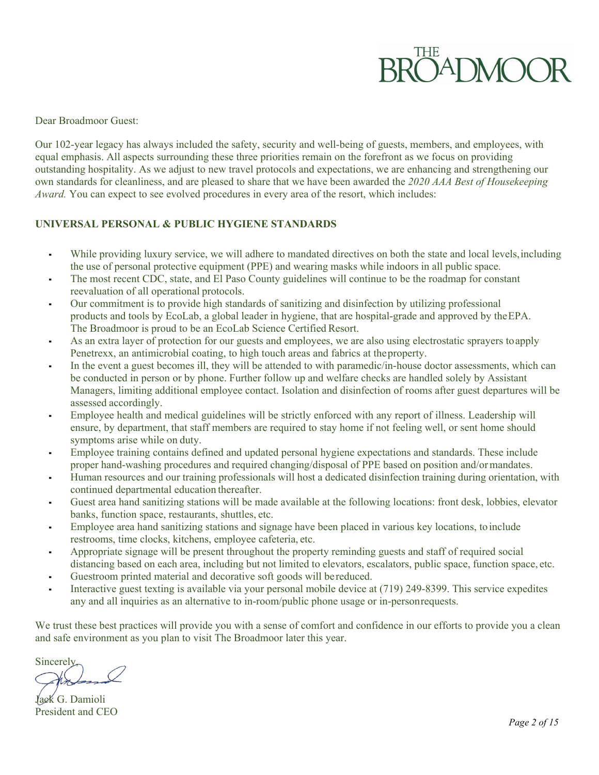Dear Broadmoor Guest:

Our 102-year legacy has always included the safety, security and well-being of guests, members, and employees, with equal emphasis. All aspects surrounding these three priorities remain on the forefront as we focus on providing outstanding hospitality. As we adjust to new travel protocols and expectations, we are enhancing and strengthening our own standards for cleanliness, and are pleased to share that we have been awarded the *2020 AAA Best of Housekeeping Award.* You can expect to see evolved procedures in every area of the resort, which includes:

## **UNIVERSAL PERSONAL & PUBLIC HYGIENE STANDARDS**

- While providing luxury service, we will adhere to mandated directives on both the state and local levels,including the use of personal protective equipment (PPE) and wearing masks while indoors in all public space.
- The most recent CDC, state, and El Paso County guidelines will continue to be the roadmap for constant reevaluation of all operational protocols.
- Our commitment is to provide high standards of sanitizing and disinfection by utilizing professional products and tools by EcoLab, a global leader in hygiene, that are hospital-grade and approved by theEPA. The Broadmoor is proud to be an EcoLab Science Certified Resort.
- As an extra layer of protection for our guests and employees, we are also using electrostatic sprayers toapply Penetrexx, an antimicrobial coating, to high touch areas and fabrics at theproperty.
- In the event a guest becomes ill, they will be attended to with paramedic/in-house doctor assessments, which can be conducted in person or by phone. Further follow up and welfare checks are handled solely by Assistant Managers, limiting additional employee contact. Isolation and disinfection of rooms after guest departures will be assessed accordingly.
- Employee health and medical guidelines will be strictly enforced with any report of illness. Leadership will ensure, by department, that staff members are required to stay home if not feeling well, or sent home should symptoms arise while on duty.
- Employee training contains defined and updated personal hygiene expectations and standards. These include proper hand-washing procedures and required changing/disposal of PPE based on position and/ormandates.
- Human resources and our training professionals will host a dedicated disinfection training during orientation, with continued departmental education thereafter.
- Guest area hand sanitizing stations will be made available at the following locations: front desk, lobbies, elevator banks, function space, restaurants, shuttles, etc.
- Employee area hand sanitizing stations and signage have been placed in various key locations, to include restrooms, time clocks, kitchens, employee cafeteria, etc.
- Appropriate signage will be present throughout the property reminding guests and staff of required social distancing based on each area, including but not limited to elevators, escalators, public space, function space, etc.
- Guestroom printed material and decorative soft goods will be reduced.
- Interactive guest texting is available via your personal mobile device at (719) 249-8399. This service expedites any and all inquiries as an alternative to in-room/public phone usage or in-personrequests.

We trust these best practices will provide you with a sense of comfort and confidence in our efforts to provide you a clean and safe environment as you plan to visit The Broadmoor later this year.

**Sincerely**,

Jack G. Damioli President and CEO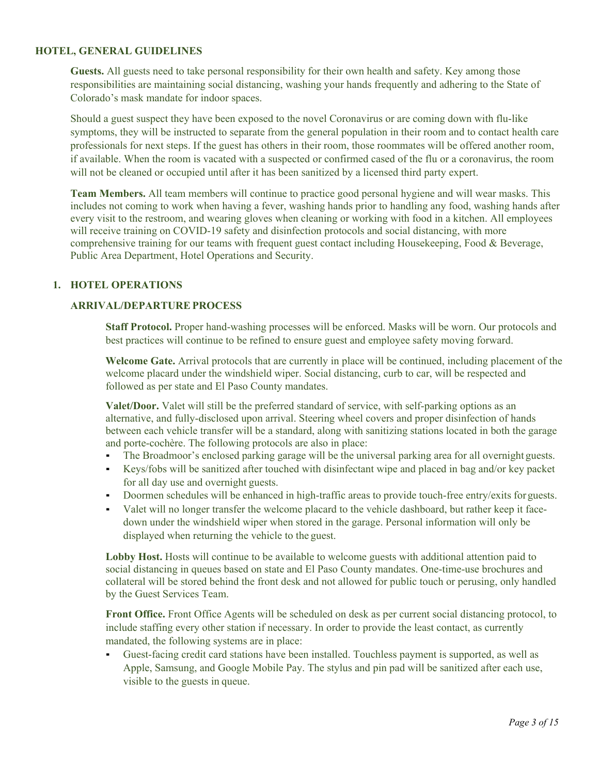## **HOTEL, GENERAL GUIDELINES**

**Guests.** All guests need to take personal responsibility for their own health and safety. Key among those responsibilities are maintaining social distancing, washing your hands frequently and adhering to the State of Colorado's mask mandate for indoor spaces.

Should a guest suspect they have been exposed to the novel Coronavirus or are coming down with flu-like symptoms, they will be instructed to separate from the general population in their room and to contact health care professionals for next steps. If the guest has others in their room, those roommates will be offered another room, if available. When the room is vacated with a suspected or confirmed cased of the flu or a coronavirus, the room will not be cleaned or occupied until after it has been sanitized by a licensed third party expert.

**Team Members.** All team members will continue to practice good personal hygiene and will wear masks. This includes not coming to work when having a fever, washing hands prior to handling any food, washing hands after every visit to the restroom, and wearing gloves when cleaning or working with food in a kitchen. All employees will receive training on COVID-19 safety and disinfection protocols and social distancing, with more comprehensive training for our teams with frequent guest contact including Housekeeping, Food & Beverage, Public Area Department, Hotel Operations and Security.

## **1. HOTEL OPERATIONS**

## **ARRIVAL/DEPARTUREPROCESS**

**Staff Protocol.** Proper hand-washing processes will be enforced. Masks will be worn. Our protocols and best practices will continue to be refined to ensure guest and employee safety moving forward.

**Welcome Gate.** Arrival protocols that are currently in place will be continued, including placement of the welcome placard under the windshield wiper. Social distancing, curb to car, will be respected and followed as per state and El Paso County mandates.

**Valet/Door.** Valet will still be the preferred standard of service, with self-parking options as an alternative, and fully-disclosed upon arrival. Steering wheel covers and proper disinfection of hands between each vehicle transfer will be a standard, along with sanitizing stations located in both the garage and porte-cochère. The following protocols are also in place:

- The Broadmoor's enclosed parking garage will be the universal parking area for all overnight guests.
- Keys/fobs will be sanitized after touched with disinfectant wipe and placed in bag and/or key packet for all day use and overnight guests.
- Doormen schedules will be enhanced in high-traffic areas to provide touch-free entry/exits for guests.
- Valet will no longer transfer the welcome placard to the vehicle dashboard, but rather keep it facedown under the windshield wiper when stored in the garage. Personal information will only be displayed when returning the vehicle to the guest.

Lobby Host. Hosts will continue to be available to welcome guests with additional attention paid to social distancing in queues based on state and El Paso County mandates. One-time-use brochures and collateral will be stored behind the front desk and not allowed for public touch or perusing, only handled by the Guest Services Team.

**Front Office.** Front Office Agents will be scheduled on desk as per current social distancing protocol, to include staffing every other station if necessary. In order to provide the least contact, as currently mandated, the following systems are in place:

▪ Guest-facing credit card stations have been installed. Touchless payment is supported, as well as Apple, Samsung, and Google Mobile Pay. The stylus and pin pad will be sanitized after each use, visible to the guests in queue.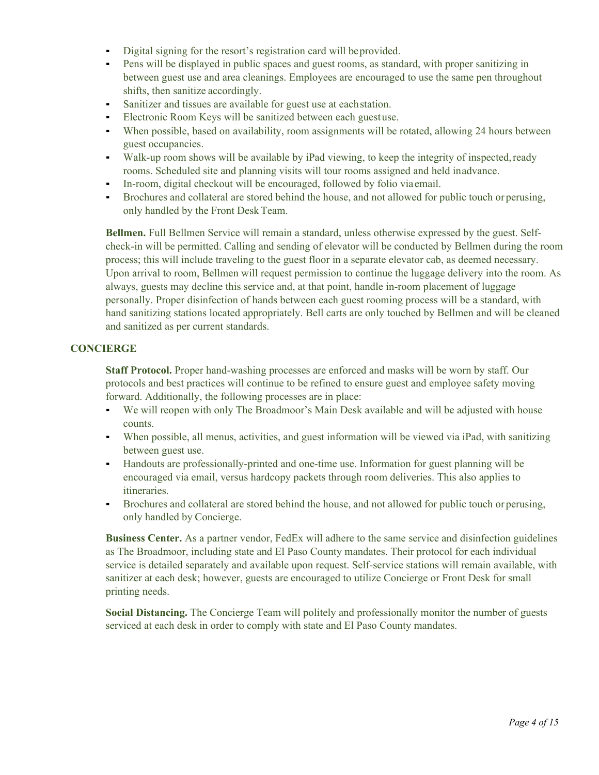- Digital signing for the resort's registration card will beprovided.
- Pens will be displayed in public spaces and guest rooms, as standard, with proper sanitizing in between guest use and area cleanings. Employees are encouraged to use the same pen throughout shifts, then sanitize accordingly.
- Sanitizer and tissues are available for guest use at each station.
- **Electronic Room Keys will be sanitized between each guestuse.**
- When possible, based on availability, room assignments will be rotated, allowing 24 hours between guest occupancies.
- Walk-up room shows will be available by iPad viewing, to keep the integrity of inspected,ready rooms. Scheduled site and planning visits will tour rooms assigned and held inadvance.
- In-room, digital checkout will be encouraged, followed by folio viaemail.
- Brochures and collateral are stored behind the house, and not allowed for public touch or perusing, only handled by the Front Desk Team.

**Bellmen.** Full Bellmen Service will remain a standard, unless otherwise expressed by the guest. Selfcheck-in will be permitted. Calling and sending of elevator will be conducted by Bellmen during the room process; this will include traveling to the guest floor in a separate elevator cab, as deemed necessary. Upon arrival to room, Bellmen will request permission to continue the luggage delivery into the room. As always, guests may decline this service and, at that point, handle in-room placement of luggage personally. Proper disinfection of hands between each guest rooming process will be a standard, with hand sanitizing stations located appropriately. Bell carts are only touched by Bellmen and will be cleaned and sanitized as per current standards.

## **CONCIERGE**

**Staff Protocol.** Proper hand-washing processes are enforced and masks will be worn by staff. Our protocols and best practices will continue to be refined to ensure guest and employee safety moving forward. Additionally, the following processes are in place:

- We will reopen with only The Broadmoor's Main Desk available and will be adjusted with house counts.
- When possible, all menus, activities, and guest information will be viewed via iPad, with sanitizing between guest use.
- Handouts are professionally-printed and one-time use. Information for guest planning will be encouraged via email, versus hardcopy packets through room deliveries. This also applies to itineraries.
- Brochures and collateral are stored behind the house, and not allowed for public touch or perusing, only handled by Concierge.

**Business Center.** As a partner vendor, FedEx will adhere to the same service and disinfection guidelines as The Broadmoor, including state and El Paso County mandates. Their protocol for each individual service is detailed separately and available upon request. Self-service stations will remain available, with sanitizer at each desk; however, guests are encouraged to utilize Concierge or Front Desk for small printing needs.

**Social Distancing.** The Concierge Team will politely and professionally monitor the number of guests serviced at each desk in order to comply with state and El Paso County mandates.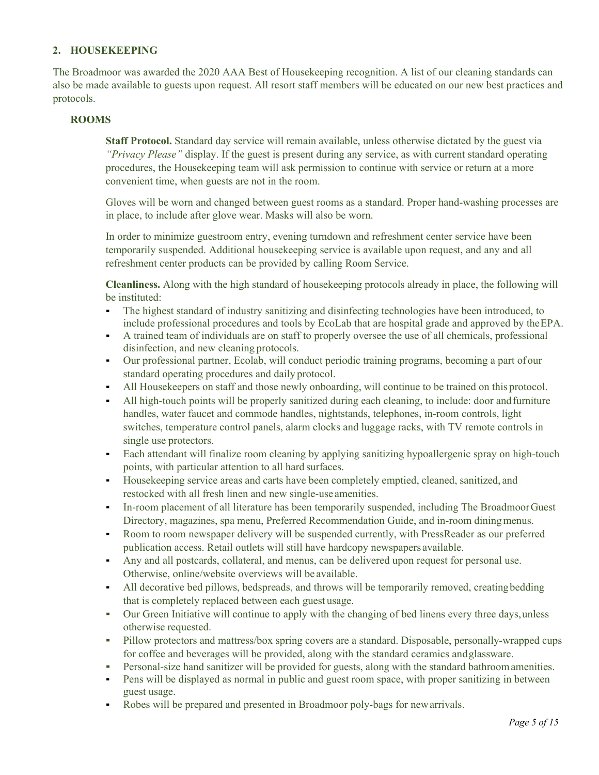## **2. HOUSEKEEPING**

The Broadmoor was awarded the 2020 AAA Best of Housekeeping recognition. A list of our cleaning standards can also be made available to guests upon request. All resort staff members will be educated on our new best practices and protocols.

## **ROOMS**

**Staff Protocol.** Standard day service will remain available, unless otherwise dictated by the guest via *"Privacy Please"* display. If the guest is present during any service, as with current standard operating procedures, the Housekeeping team will ask permission to continue with service or return at a more convenient time, when guests are not in the room.

Gloves will be worn and changed between guest rooms as a standard. Proper hand-washing processes are in place, to include after glove wear. Masks will also be worn.

In order to minimize guestroom entry, evening turndown and refreshment center service have been temporarily suspended. Additional housekeeping service is available upon request, and any and all refreshment center products can be provided by calling Room Service.

**Cleanliness.** Along with the high standard of housekeeping protocols already in place, the following will be instituted:

- The highest standard of industry sanitizing and disinfecting technologies have been introduced, to include professional procedures and tools by EcoLab that are hospital grade and approved by theEPA.
- A trained team of individuals are on staff to properly oversee the use of all chemicals, professional disinfection, and new cleaning protocols.
- Our professional partner, Ecolab, will conduct periodic training programs, becoming a part of our standard operating procedures and daily protocol.
- All Housekeepers on staff and those newly onboarding, will continue to be trained on this protocol.
- All high-touch points will be properly sanitized during each cleaning, to include: door andfurniture handles, water faucet and commode handles, nightstands, telephones, in-room controls, light switches, temperature control panels, alarm clocks and luggage racks, with TV remote controls in single use protectors.
- **•** Each attendant will finalize room cleaning by applying sanitizing hypoallergenic spray on high-touch points, with particular attention to all hard surfaces.
- Housekeeping service areas and carts have been completely emptied, cleaned, sanitized, and restocked with all fresh linen and new single-use amenities.
- In-room placement of all literature has been temporarily suspended, including The BroadmoorGuest Directory, magazines, spa menu, Preferred Recommendation Guide, and in-room dining menus.
- Room to room newspaper delivery will be suspended currently, with PressReader as our preferred publication access. Retail outlets will still have hardcopy newspapers available.
- Any and all postcards, collateral, and menus, can be delivered upon request for personal use. Otherwise, online/website overviews will be available.
- All decorative bed pillows, bedspreads, and throws will be temporarily removed, creating bedding that is completely replaced between each guest usage.
- Our Green Initiative will continue to apply with the changing of bed linens every three days,unless otherwise requested.
- Pillow protectors and mattress/box spring covers are a standard. Disposable, personally-wrapped cups for coffee and beverages will be provided, along with the standard ceramics andglassware.
- Personal-size hand sanitizer will be provided for guests, along with the standard bathroomamenities.
- Pens will be displayed as normal in public and guest room space, with proper sanitizing in between guest usage.
- Robes will be prepared and presented in Broadmoor poly-bags for new arrivals.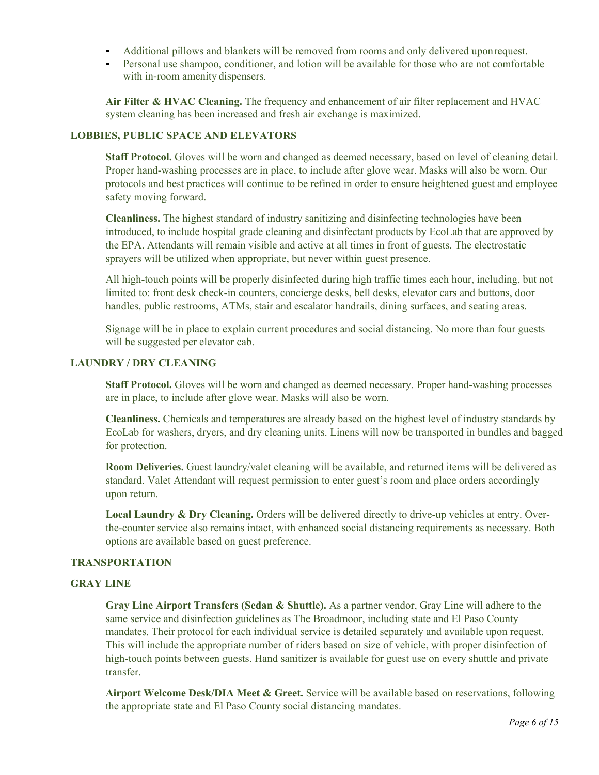- Additional pillows and blankets will be removed from rooms and only delivered uponrequest.
- Personal use shampoo, conditioner, and lotion will be available for those who are not comfortable with in-room amenity dispensers.

**Air Filter & HVAC Cleaning.** The frequency and enhancement of air filter replacement and HVAC system cleaning has been increased and fresh air exchange is maximized.

## **LOBBIES, PUBLIC SPACE AND ELEVATORS**

**Staff Protocol.** Gloves will be worn and changed as deemed necessary, based on level of cleaning detail. Proper hand-washing processes are in place, to include after glove wear. Masks will also be worn. Our protocols and best practices will continue to be refined in order to ensure heightened guest and employee safety moving forward.

**Cleanliness.** The highest standard of industry sanitizing and disinfecting technologies have been introduced, to include hospital grade cleaning and disinfectant products by EcoLab that are approved by the EPA. Attendants will remain visible and active at all times in front of guests. The electrostatic sprayers will be utilized when appropriate, but never within guest presence.

All high-touch points will be properly disinfected during high traffic times each hour, including, but not limited to: front desk check-in counters, concierge desks, bell desks, elevator cars and buttons, door handles, public restrooms, ATMs, stair and escalator handrails, dining surfaces, and seating areas.

Signage will be in place to explain current procedures and social distancing. No more than four guests will be suggested per elevator cab.

## **LAUNDRY / DRY CLEANING**

**Staff Protocol.** Gloves will be worn and changed as deemed necessary. Proper hand-washing processes are in place, to include after glove wear. Masks will also be worn.

**Cleanliness.** Chemicals and temperatures are already based on the highest level of industry standards by EcoLab for washers, dryers, and dry cleaning units. Linens will now be transported in bundles and bagged for protection.

**Room Deliveries.** Guest laundry/valet cleaning will be available, and returned items will be delivered as standard. Valet Attendant will request permission to enter guest's room and place orders accordingly upon return.

**Local Laundry & Dry Cleaning.** Orders will be delivered directly to drive-up vehicles at entry. Overthe-counter service also remains intact, with enhanced social distancing requirements as necessary. Both options are available based on guest preference.

## **TRANSPORTATION**

## **GRAY LINE**

**Gray Line Airport Transfers (Sedan & Shuttle).** As a partner vendor, Gray Line will adhere to the same service and disinfection guidelines as The Broadmoor, including state and El Paso County mandates. Their protocol for each individual service is detailed separately and available upon request. This will include the appropriate number of riders based on size of vehicle, with proper disinfection of high-touch points between guests. Hand sanitizer is available for guest use on every shuttle and private transfer.

**Airport Welcome Desk/DIA Meet & Greet.** Service will be available based on reservations, following the appropriate state and El Paso County social distancing mandates.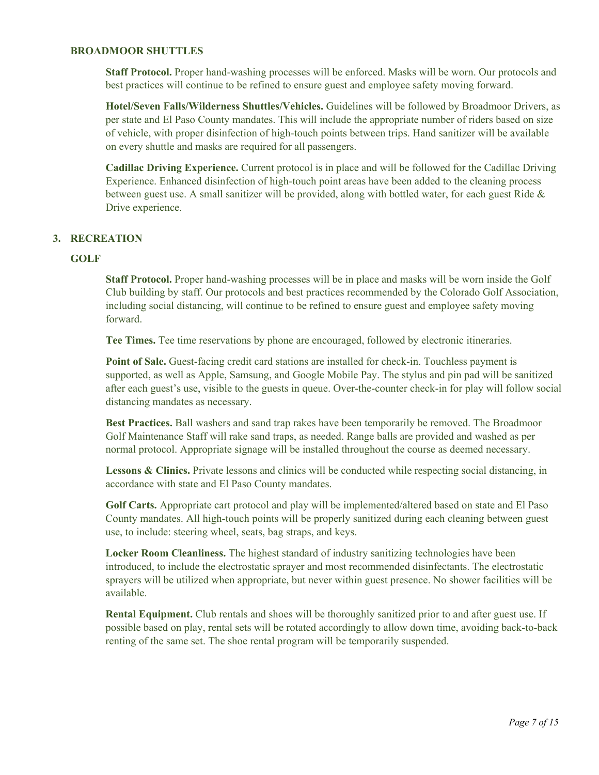### **BROADMOOR SHUTTLES**

**Staff Protocol.** Proper hand-washing processes will be enforced. Masks will be worn. Our protocols and best practices will continue to be refined to ensure guest and employee safety moving forward.

**Hotel/Seven Falls/Wilderness Shuttles/Vehicles.** Guidelines will be followed by Broadmoor Drivers, as per state and El Paso County mandates. This will include the appropriate number of riders based on size of vehicle, with proper disinfection of high-touch points between trips. Hand sanitizer will be available on every shuttle and masks are required for all passengers.

**Cadillac Driving Experience.** Current protocol is in place and will be followed for the Cadillac Driving Experience. Enhanced disinfection of high-touch point areas have been added to the cleaning process between guest use. A small sanitizer will be provided, along with bottled water, for each guest Ride & Drive experience.

## **3. RECREATION**

## **GOLF**

**Staff Protocol.** Proper hand-washing processes will be in place and masks will be worn inside the Golf Club building by staff. Our protocols and best practices recommended by the Colorado Golf Association, including social distancing, will continue to be refined to ensure guest and employee safety moving forward.

**Tee Times.** Tee time reservations by phone are encouraged, followed by electronic itineraries.

**Point of Sale.** Guest-facing credit card stations are installed for check-in. Touchless payment is supported, as well as Apple, Samsung, and Google Mobile Pay. The stylus and pin pad will be sanitized after each guest's use, visible to the guests in queue. Over-the-counter check-in for play will follow social distancing mandates as necessary.

**Best Practices.** Ball washers and sand trap rakes have been temporarily be removed. The Broadmoor Golf Maintenance Staff will rake sand traps, as needed. Range balls are provided and washed as per normal protocol. Appropriate signage will be installed throughout the course as deemed necessary.

Lessons & Clinics. Private lessons and clinics will be conducted while respecting social distancing, in accordance with state and El Paso County mandates.

**Golf Carts.** Appropriate cart protocol and play will be implemented/altered based on state and El Paso County mandates. All high-touch points will be properly sanitized during each cleaning between guest use, to include: steering wheel, seats, bag straps, and keys.

**Locker Room Cleanliness.** The highest standard of industry sanitizing technologies have been introduced, to include the electrostatic sprayer and most recommended disinfectants. The electrostatic sprayers will be utilized when appropriate, but never within guest presence. No shower facilities will be available.

**Rental Equipment.** Club rentals and shoes will be thoroughly sanitized prior to and after guest use. If possible based on play, rental sets will be rotated accordingly to allow down time, avoiding back-to-back renting of the same set. The shoe rental program will be temporarily suspended.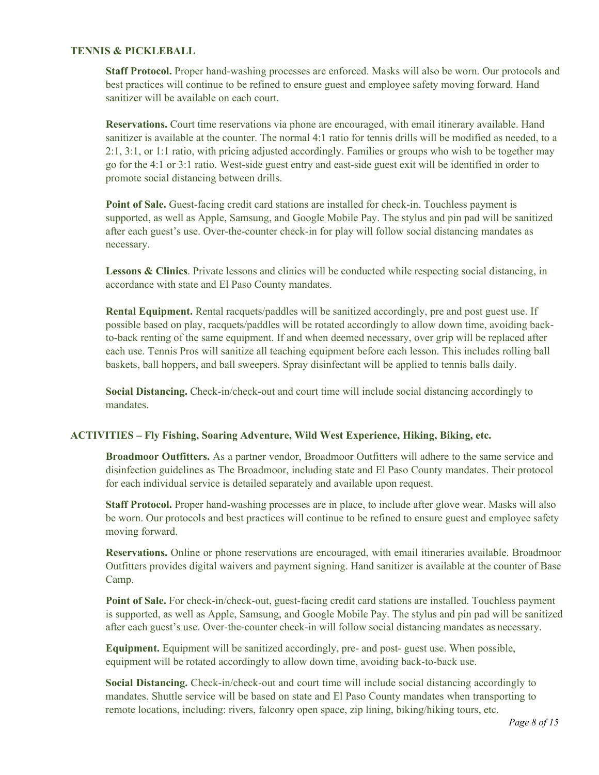## **TENNIS & PICKLEBALL**

**Staff Protocol.** Proper hand-washing processes are enforced. Masks will also be worn. Our protocols and best practices will continue to be refined to ensure guest and employee safety moving forward. Hand sanitizer will be available on each court.

**Reservations.** Court time reservations via phone are encouraged, with email itinerary available. Hand sanitizer is available at the counter. The normal 4:1 ratio for tennis drills will be modified as needed, to a 2:1, 3:1, or 1:1 ratio, with pricing adjusted accordingly. Families or groups who wish to be together may go for the 4:1 or 3:1 ratio. West-side guest entry and east-side guest exit will be identified in order to promote social distancing between drills.

Point of Sale. Guest-facing credit card stations are installed for check-in. Touchless payment is supported, as well as Apple, Samsung, and Google Mobile Pay. The stylus and pin pad will be sanitized after each guest's use. Over-the-counter check-in for play will follow social distancing mandates as necessary.

**Lessons & Clinics**. Private lessons and clinics will be conducted while respecting social distancing, in accordance with state and El Paso County mandates.

**Rental Equipment.** Rental racquets/paddles will be sanitized accordingly, pre and post guest use. If possible based on play, racquets/paddles will be rotated accordingly to allow down time, avoiding backto-back renting of the same equipment. If and when deemed necessary, over grip will be replaced after each use. Tennis Pros will sanitize all teaching equipment before each lesson. This includes rolling ball baskets, ball hoppers, and ball sweepers. Spray disinfectant will be applied to tennis balls daily.

**Social Distancing.** Check-in/check-out and court time will include social distancing accordingly to mandates.

## **ACTIVITIES – Fly Fishing, Soaring Adventure, Wild West Experience, Hiking, Biking, etc.**

**Broadmoor Outfitters.** As a partner vendor, Broadmoor Outfitters will adhere to the same service and disinfection guidelines as The Broadmoor, including state and El Paso County mandates. Their protocol for each individual service is detailed separately and available upon request.

**Staff Protocol.** Proper hand-washing processes are in place, to include after glove wear. Masks will also be worn. Our protocols and best practices will continue to be refined to ensure guest and employee safety moving forward.

**Reservations.** Online or phone reservations are encouraged, with email itineraries available. Broadmoor Outfitters provides digital waivers and payment signing. Hand sanitizer is available at the counter of Base Camp.

**Point of Sale.** For check-in/check-out, guest-facing credit card stations are installed. Touchless payment is supported, as well as Apple, Samsung, and Google Mobile Pay. The stylus and pin pad will be sanitized after each guest's use. Over-the-counter check-in will follow social distancing mandates as necessary.

**Equipment.** Equipment will be sanitized accordingly, pre- and post- guest use. When possible, equipment will be rotated accordingly to allow down time, avoiding back-to-back use.

**Social Distancing.** Check-in/check-out and court time will include social distancing accordingly to mandates. Shuttle service will be based on state and El Paso County mandates when transporting to remote locations, including: rivers, falconry open space, zip lining, biking/hiking tours, etc.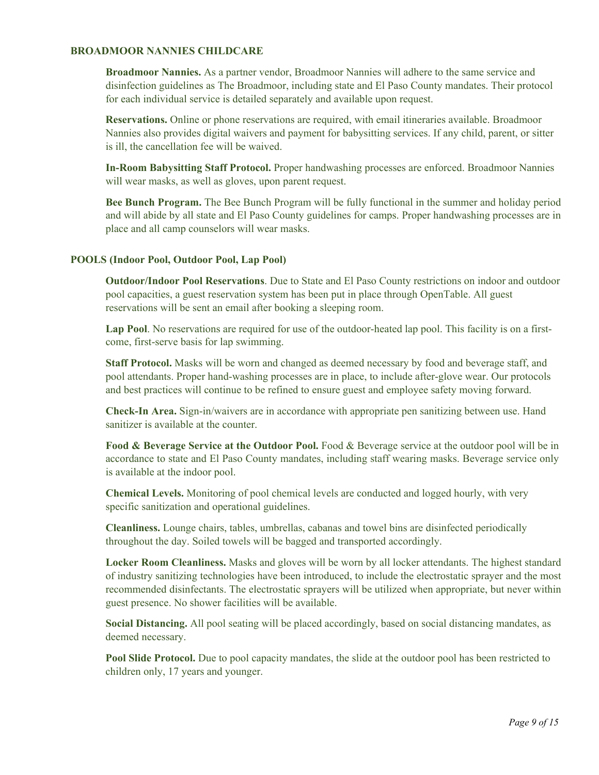### **BROADMOOR NANNIES CHILDCARE**

**Broadmoor Nannies.** As a partner vendor, Broadmoor Nannies will adhere to the same service and disinfection guidelines as The Broadmoor, including state and El Paso County mandates. Their protocol for each individual service is detailed separately and available upon request.

**Reservations.** Online or phone reservations are required, with email itineraries available. Broadmoor Nannies also provides digital waivers and payment for babysitting services. If any child, parent, or sitter is ill, the cancellation fee will be waived.

**In-Room Babysitting Staff Protocol.** Proper handwashing processes are enforced. Broadmoor Nannies will wear masks, as well as gloves, upon parent request.

**Bee Bunch Program.** The Bee Bunch Program will be fully functional in the summer and holiday period and will abide by all state and El Paso County guidelines for camps. Proper handwashing processes are in place and all camp counselors will wear masks.

### **POOLS (Indoor Pool, Outdoor Pool, Lap Pool)**

**Outdoor/Indoor Pool Reservations**. Due to State and El Paso County restrictions on indoor and outdoor pool capacities, a guest reservation system has been put in place through OpenTable. All guest reservations will be sent an email after booking a sleeping room.

**Lap Pool**. No reservations are required for use of the outdoor-heated lap pool. This facility is on a firstcome, first-serve basis for lap swimming.

**Staff Protocol.** Masks will be worn and changed as deemed necessary by food and beverage staff, and pool attendants. Proper hand-washing processes are in place, to include after-glove wear. Our protocols and best practices will continue to be refined to ensure guest and employee safety moving forward.

**Check-In Area.** Sign-in/waivers are in accordance with appropriate pen sanitizing between use. Hand sanitizer is available at the counter.

**Food & Beverage Service at the Outdoor Pool.** Food & Beverage service at the outdoor pool will be in accordance to state and El Paso County mandates, including staff wearing masks. Beverage service only is available at the indoor pool.

**Chemical Levels.** Monitoring of pool chemical levels are conducted and logged hourly, with very specific sanitization and operational guidelines.

**Cleanliness.** Lounge chairs, tables, umbrellas, cabanas and towel bins are disinfected periodically throughout the day. Soiled towels will be bagged and transported accordingly.

**Locker Room Cleanliness.** Masks and gloves will be worn by all locker attendants. The highest standard of industry sanitizing technologies have been introduced, to include the electrostatic sprayer and the most recommended disinfectants. The electrostatic sprayers will be utilized when appropriate, but never within guest presence. No shower facilities will be available.

**Social Distancing.** All pool seating will be placed accordingly, based on social distancing mandates, as deemed necessary.

**Pool Slide Protocol.** Due to pool capacity mandates, the slide at the outdoor pool has been restricted to children only, 17 years and younger.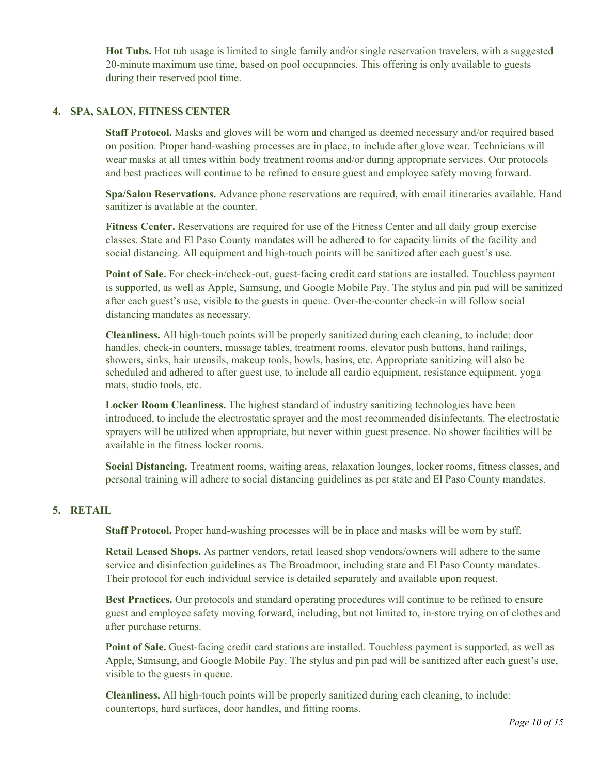**Hot Tubs.** Hot tub usage is limited to single family and/or single reservation travelers, with a suggested 20-minute maximum use time, based on pool occupancies. This offering is only available to guests during their reserved pool time.

### **4. SPA, SALON, FITNESS CENTER**

**Staff Protocol.** Masks and gloves will be worn and changed as deemed necessary and/or required based on position. Proper hand-washing processes are in place, to include after glove wear. Technicians will wear masks at all times within body treatment rooms and/or during appropriate services. Our protocols and best practices will continue to be refined to ensure guest and employee safety moving forward.

**Spa/Salon Reservations.** Advance phone reservations are required, with email itineraries available. Hand sanitizer is available at the counter.

**Fitness Center.** Reservations are required for use of the Fitness Center and all daily group exercise classes. State and El Paso County mandates will be adhered to for capacity limits of the facility and social distancing. All equipment and high-touch points will be sanitized after each guest's use.

**Point of Sale.** For check-in/check-out, guest-facing credit card stations are installed. Touchless payment is supported, as well as Apple, Samsung, and Google Mobile Pay. The stylus and pin pad will be sanitized after each guest's use, visible to the guests in queue. Over-the-counter check-in will follow social distancing mandates as necessary.

**Cleanliness.** All high-touch points will be properly sanitized during each cleaning, to include: door handles, check-in counters, massage tables, treatment rooms, elevator push buttons, hand railings, showers, sinks, hair utensils, makeup tools, bowls, basins, etc. Appropriate sanitizing will also be scheduled and adhered to after guest use, to include all cardio equipment, resistance equipment, yoga mats, studio tools, etc.

**Locker Room Cleanliness.** The highest standard of industry sanitizing technologies have been introduced, to include the electrostatic sprayer and the most recommended disinfectants. The electrostatic sprayers will be utilized when appropriate, but never within guest presence. No shower facilities will be available in the fitness locker rooms.

**Social Distancing.** Treatment rooms, waiting areas, relaxation lounges, locker rooms, fitness classes, and personal training will adhere to social distancing guidelines as per state and El Paso County mandates.

### **5. RETAIL**

**Staff Protocol.** Proper hand-washing processes will be in place and masks will be worn by staff.

**Retail Leased Shops.** As partner vendors, retail leased shop vendors/owners will adhere to the same service and disinfection guidelines as The Broadmoor, including state and El Paso County mandates. Their protocol for each individual service is detailed separately and available upon request.

**Best Practices.** Our protocols and standard operating procedures will continue to be refined to ensure guest and employee safety moving forward, including, but not limited to, in-store trying on of clothes and after purchase returns.

**Point of Sale.** Guest-facing credit card stations are installed. Touchless payment is supported, as well as Apple, Samsung, and Google Mobile Pay. The stylus and pin pad will be sanitized after each guest's use, visible to the guests in queue.

**Cleanliness.** All high-touch points will be properly sanitized during each cleaning, to include: countertops, hard surfaces, door handles, and fitting rooms.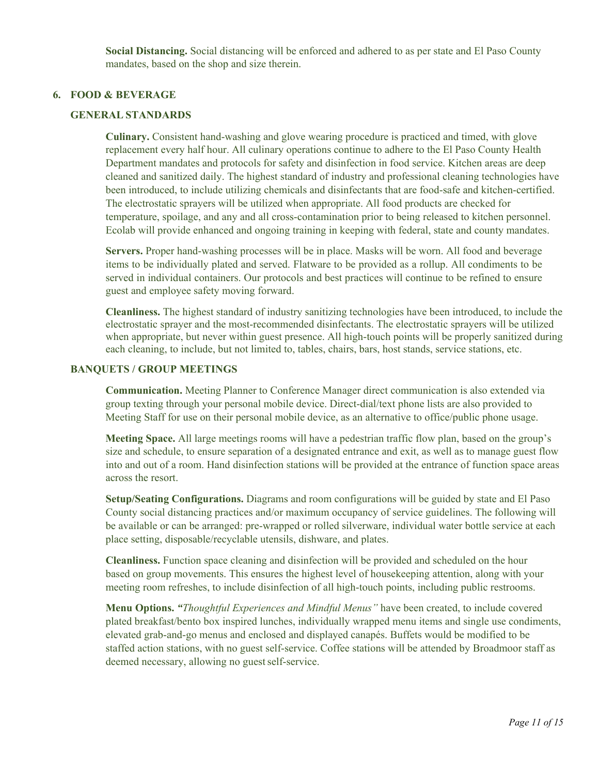**Social Distancing.** Social distancing will be enforced and adhered to as per state and El Paso County mandates, based on the shop and size therein.

## **6. FOOD & BEVERAGE**

#### **GENERAL STANDARDS**

**Culinary.** Consistent hand-washing and glove wearing procedure is practiced and timed, with glove replacement every half hour. All culinary operations continue to adhere to the El Paso County Health Department mandates and protocols for safety and disinfection in food service. Kitchen areas are deep cleaned and sanitized daily. The highest standard of industry and professional cleaning technologies have been introduced, to include utilizing chemicals and disinfectants that are food-safe and kitchen-certified. The electrostatic sprayers will be utilized when appropriate. All food products are checked for temperature, spoilage, and any and all cross-contamination prior to being released to kitchen personnel. Ecolab will provide enhanced and ongoing training in keeping with federal, state and county mandates.

**Servers.** Proper hand-washing processes will be in place. Masks will be worn. All food and beverage items to be individually plated and served. Flatware to be provided as a rollup. All condiments to be served in individual containers. Our protocols and best practices will continue to be refined to ensure guest and employee safety moving forward.

**Cleanliness.** The highest standard of industry sanitizing technologies have been introduced, to include the electrostatic sprayer and the most-recommended disinfectants. The electrostatic sprayers will be utilized when appropriate, but never within guest presence. All high-touch points will be properly sanitized during each cleaning, to include, but not limited to, tables, chairs, bars, host stands, service stations, etc.

#### **BANQUETS / GROUP MEETINGS**

**Communication.** Meeting Planner to Conference Manager direct communication is also extended via group texting through your personal mobile device. Direct-dial/text phone lists are also provided to Meeting Staff for use on their personal mobile device, as an alternative to office/public phone usage.

**Meeting Space.** All large meetings rooms will have a pedestrian traffic flow plan, based on the group's size and schedule, to ensure separation of a designated entrance and exit, as well as to manage guest flow into and out of a room. Hand disinfection stations will be provided at the entrance of function space areas across the resort.

**Setup/Seating Configurations.** Diagrams and room configurations will be guided by state and El Paso County social distancing practices and/or maximum occupancy of service guidelines. The following will be available or can be arranged: pre-wrapped or rolled silverware, individual water bottle service at each place setting, disposable/recyclable utensils, dishware, and plates.

**Cleanliness.** Function space cleaning and disinfection will be provided and scheduled on the hour based on group movements. This ensures the highest level of housekeeping attention, along with your meeting room refreshes, to include disinfection of all high-touch points, including public restrooms.

**Menu Options.** *"Thoughtful Experiences and Mindful Menus"* have been created, to include covered plated breakfast/bento box inspired lunches, individually wrapped menu items and single use condiments, elevated grab-and-go menus and enclosed and displayed canapés. Buffets would be modified to be staffed action stations, with no guest self-service. Coffee stations will be attended by Broadmoor staff as deemed necessary, allowing no guest self-service.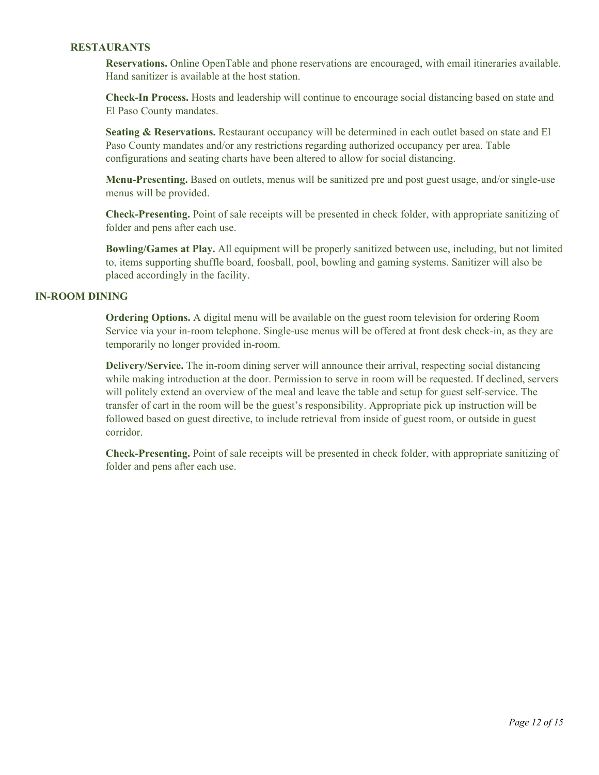## **RESTAURANTS**

**Reservations.** Online OpenTable and phone reservations are encouraged, with email itineraries available. Hand sanitizer is available at the host station.

**Check-In Process.** Hosts and leadership will continue to encourage social distancing based on state and El Paso County mandates.

**Seating & Reservations.** Restaurant occupancy will be determined in each outlet based on state and El Paso County mandates and/or any restrictions regarding authorized occupancy per area. Table configurations and seating charts have been altered to allow for social distancing.

**Menu-Presenting.** Based on outlets, menus will be sanitized pre and post guest usage, and/or single-use menus will be provided.

**Check-Presenting.** Point of sale receipts will be presented in check folder, with appropriate sanitizing of folder and pens after each use.

**Bowling/Games at Play.** All equipment will be properly sanitized between use, including, but not limited to, items supporting shuffle board, foosball, pool, bowling and gaming systems. Sanitizer will also be placed accordingly in the facility.

#### **IN-ROOM DINING**

**Ordering Options.** A digital menu will be available on the guest room television for ordering Room Service via your in-room telephone. Single-use menus will be offered at front desk check-in, as they are temporarily no longer provided in-room.

**Delivery/Service.** The in-room dining server will announce their arrival, respecting social distancing while making introduction at the door. Permission to serve in room will be requested. If declined, servers will politely extend an overview of the meal and leave the table and setup for guest self-service. The transfer of cart in the room will be the guest's responsibility. Appropriate pick up instruction will be followed based on guest directive, to include retrieval from inside of guest room, or outside in guest corridor.

**Check-Presenting.** Point of sale receipts will be presented in check folder, with appropriate sanitizing of folder and pens after each use.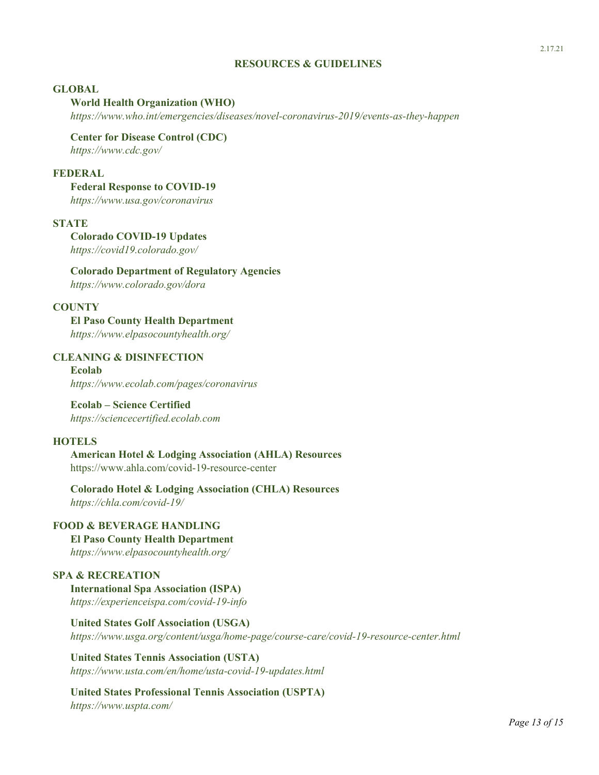## **RESOURCES & GUIDELINES**

#### **GLOBAL**

#### **World Health Organization (WHO)**

*<https://www.who.int/emergencies/diseases/novel-coronavirus-2019/events-as-they-happen>*

**Center for Disease Control (CDC)** *<https://www.cdc.gov/>*

## **FEDERAL**

### **Federal Response to COVID-19**

*<https://www.usa.gov/coronavirus>*

#### **STATE**

**Colorado COVID-19 Updates** *<https://covid19.colorado.gov/>*

**Colorado Department of Regulatory Agencies**

*<https://www.colorado.gov/dora>*

## **COUNTY**

**El Paso County Health Department** *<https://www.elpasocountyhealth.org/>*

## **CLEANING & DISINFECTION**

**Ecolab** *https:/[/www.ecolab.com/pages/coronavirus](http://www.ecolab.com/pages/coronavirus)*

### **Ecolab – Science Certified** *https://sciencecertified.ecolab.com*

#### **HOTELS**

**American Hotel & Lodging Association (AHLA) Resources** <https://www.ahla.com/covid-19-resource-center>

**Colorado Hotel & Lodging Association (CHLA) Resources** *<https://chla.com/covid-19/>*

## **FOOD & BEVERAGE HANDLING**

**El Paso County Health Department** *<https://www.elpasocountyhealth.org/>*

## **SPA & RECREATION**

**International Spa Association (ISPA)** *<https://experienceispa.com/covid-19-info>*

**United States Golf Association (USGA)** *<https://www.usga.org/content/usga/home-page/course-care/covid-19-resource-center.html>*

**United States Tennis Association (USTA)** *<https://www.usta.com/en/home/usta-covid-19-updates.html>*

#### **United States Professional Tennis Association (USPTA)** *<https://www.uspta.com/>*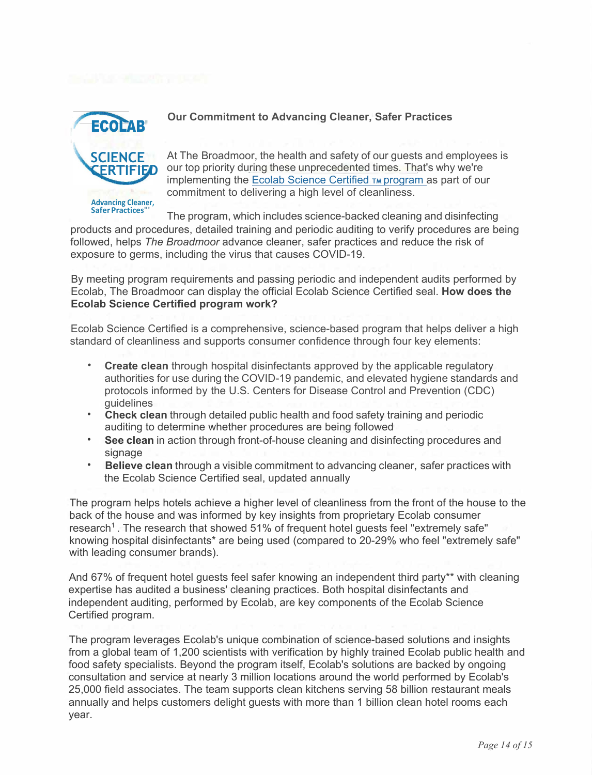

# **Our Commitment to Advancing Cleaner, Safer Practices**

At The Broadmoor, the health and safety of our guests and employees is our top priority during these unprecedented times. That's why we're implementing the Ecolab Science Certified TM program as part of our commitment to delivering a high level of cleanliness.

The program, which includes science-backed cleaning and disinfecting products and procedures, detailed training and periodic auditing to verify procedures are being followed, helps *The Broadmoor* advance cleaner, safer practices and reduce the risk of exposure to germs, including the virus that causes COVID-19.

By meeting program requirements and passing periodic and independent audits performed by Ecolab, The Broadmoor can display the official Ecolab Science Certified seal. **How does the Ecolab Science Certified program work?**

Ecolab Science Certified is a comprehensive, science-based program that helps deliver a high standard of cleanliness and supports consumer confidence through four key elements:

- **Create clean** through hospital disinfectants approved by the applicable regulatory authorities for use during the COVID-19 pandemic, and elevated hygiene standards and protocols informed by the U.S. Centers for Disease Control and Prevention (CDC) guidelines
- **Check clean** through detailed public health and food safety training and periodic auditing to determine whether procedures are being followed
- **See clean** in action through front-of-house cleaning and disinfecting procedures and signage
- **Believe clean** through a visible commitment to advancing cleaner, safer practices with the Ecolab Science Certified seal, updated annually

The program helps hotels achieve a higher level of cleanliness from the front of the house to the back of the house and was informed by key insights from proprietary Ecolab consumer research<sup>1</sup>. The research that showed 51% of frequent hotel guests feel "extremely safe" knowing hospital disinfectants\* are being used (compared to 20-29% who feel "extremely safe" with leading consumer brands).

And 67% of frequent hotel guests feel safer knowing an independent third party\*\* with cleaning expertise has audited a business' cleaning practices. Both hospital disinfectants and independent auditing, performed by Ecolab, are key components of the Ecolab Science Certified program.

The program leverages Ecolab's unique combination of science-based solutions and insights from a global team of 1,200 scientists with verification by highly trained Ecolab public health and food safety specialists. Beyond the program itself, Ecolab's solutions are backed by ongoing consultation and service at nearly 3 million locations around the world performed by Ecolab's 25,000 field associates. The team supports clean kitchens serving 58 billion restaurant meals annually and helps customers delight guests with more than 1 billion clean hotel rooms each year.